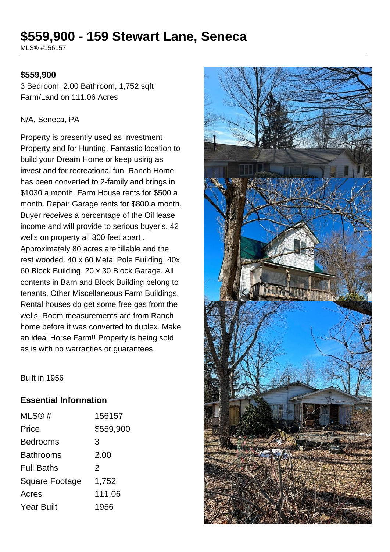# **\$559,900 - 159 Stewart Lane, Seneca**

MLS® #156157

# **\$559,900**

3 Bedroom, 2.00 Bathroom, 1,752 sqft Farm/Land on 111.06 Acres

### N/A, Seneca, PA

Property is presently used as Investment Property and for Hunting. Fantastic location to build your Dream Home or keep using as invest and for recreational fun. Ranch Home has been converted to 2-family and brings in \$1030 a month. Farm House rents for \$500 a month. Repair Garage rents for \$800 a month. Buyer receives a percentage of the Oil lease income and will provide to serious buyer's. 42 wells on property all 300 feet apart . Approximately 80 acres are tillable and the rest wooded. 40 x 60 Metal Pole Building, 40x 60 Block Building. 20 x 30 Block Garage. All contents in Barn and Block Building belong to tenants. Other Miscellaneous Farm Buildings. Rental houses do get some free gas from the wells. Room measurements are from Ranch home before it was converted to duplex. Make an ideal Horse Farm!! Property is being sold as is with no warranties or guarantees.

### Built in 1956

# **Essential Information**

| MLS@#                 | 156157    |
|-----------------------|-----------|
| Price                 | \$559,900 |
| <b>Bedrooms</b>       | 3         |
| Bathrooms             | 2.00      |
| <b>Full Baths</b>     | 2         |
| <b>Square Footage</b> | 1,752     |
| Acres                 | 111.06    |
| <b>Year Built</b>     | 1956      |